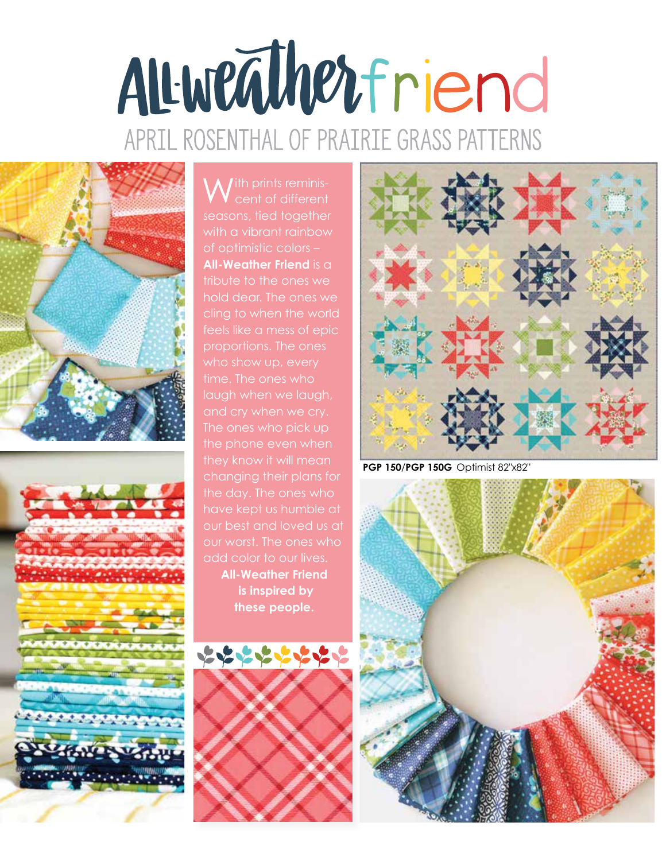## ALWEATHETIEN APRIL ROSENTHAL OF PRAIRIE GRASS PATTERNS





**A** / ith prints reminis-V cent of different seasons, tied together with a vibrant rainbow of optimistic colors – **All-Weather Friend** is a tribute to the ones we hold dear. The ones we cling to when the world feels like a mess of epic proportions. The ones who show up, every time. The ones who laugh when we laugh, The ones who pick up the phone even when they know it will mean changing their plans for have kept us humble at our best and loved us at our worst. The ones who add color to our lives. **All-Weather Friend is inspired by these people.** 





**PGP 150**/**PGP 150G** Optimist 82"x82"

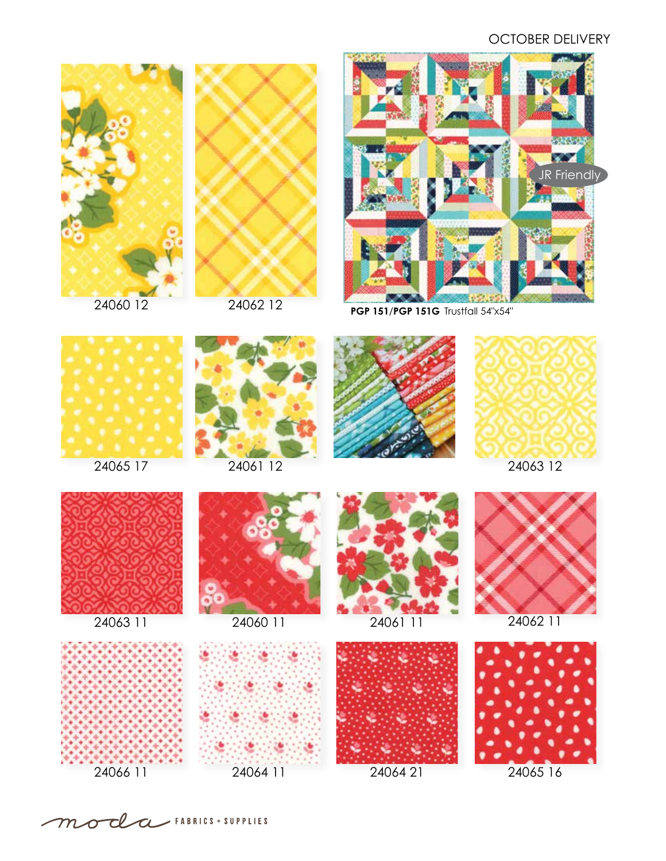## OCTOBER DELIVERY



24060 12



24062 12



**PGP 151**/**PGP 151G** Trustfall 54"x54"





















24066 11



24064 11 24064 21 24065 16





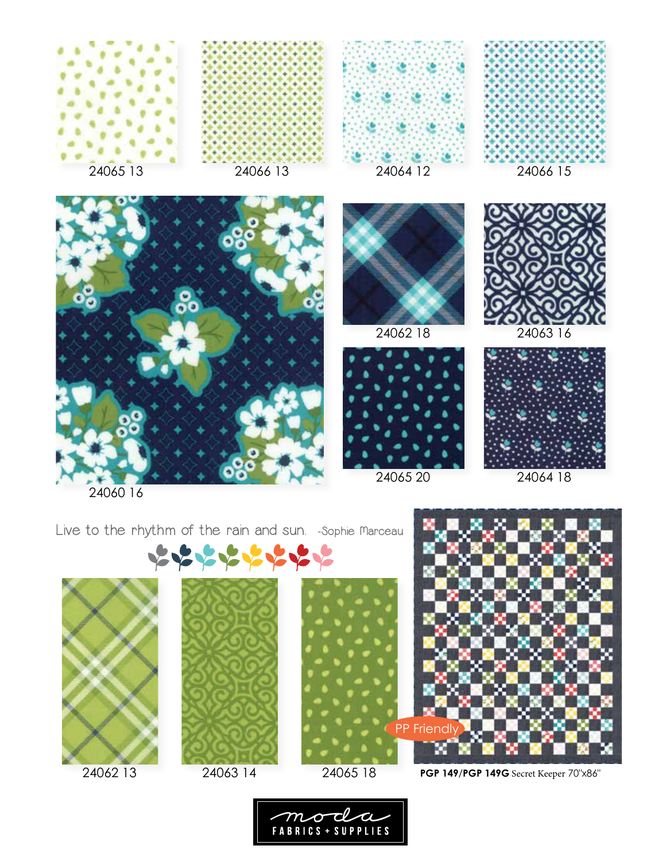















Live to the rhythm of the rain and sun. - Sophie Marceau





24062 13 24063 14 24065 18





**PGP 149**/**PGP 149G** Secret Keeper 70"x86"